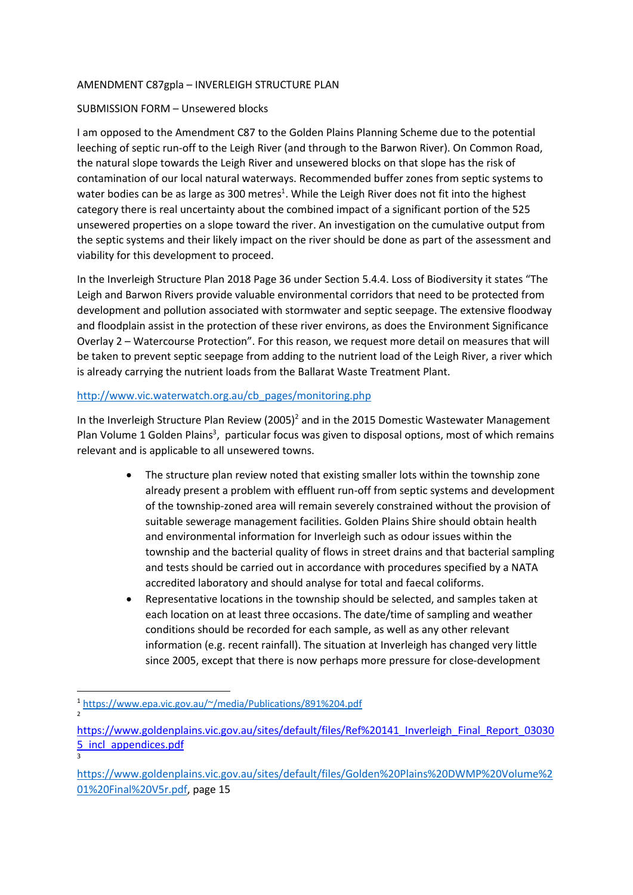## AMENDMENT C87gpla – INVERLEIGH STRUCTURE PLAN

## SUBMISSION FORM – Unsewered blocks

I am opposed to the Amendment C87 to the Golden Plains Planning Scheme due to the potential leeching of septic run-off to the Leigh River (and through to the Barwon River). On Common Road, the natural slope towards the Leigh River and unsewered blocks on that slope has the risk of contamination of our local natural waterways. Recommended buffer zones from septic systems to water bodies can be as large as 300 metres<sup>1</sup>. While the Leigh River does not fit into the highest category there is real uncertainty about the combined impact of a significant portion of the 525 unsewered properties on a slope toward the river. An investigation on the cumulative output from the septic systems and their likely impact on the river should be done as part of the assessment and viability for this development to proceed.

In the Inverleigh Structure Plan 2018 Page 36 under Section 5.4.4. Loss of Biodiversity it states "The Leigh and Barwon Rivers provide valuable environmental corridors that need to be protected from development and pollution associated with stormwater and septic seepage. The extensive floodway and floodplain assist in the protection of these river environs, as does the Environment Significance Overlay 2 – Watercourse Protection". For this reason, we request more detail on measures that will be taken to prevent septic seepage from adding to the nutrient load of the Leigh River, a river which is already carrying the nutrient loads from the Ballarat Waste Treatment Plant.

## http://www.vic.waterwatch.org.au/cb\_pages/monitoring.php

In the Inverleigh Structure Plan Review (2005)<sup>2</sup> and in the 2015 Domestic Wastewater Management Plan Volume 1 Golden Plains<sup>3</sup>, particular focus was given to disposal options, most of which remains relevant and is applicable to all unsewered towns.

- The structure plan review noted that existing smaller lots within the township zone already present a problem with effluent run-off from septic systems and development of the township-zoned area will remain severely constrained without the provision of suitable sewerage management facilities. Golden Plains Shire should obtain health and environmental information for Inverleigh such as odour issues within the township and the bacterial quality of flows in street drains and that bacterial sampling and tests should be carried out in accordance with procedures specified by a NATA accredited laboratory and should analyse for total and faecal coliforms.
- Representative locations in the township should be selected, and samples taken at each location on at least three occasions. The date/time of sampling and weather conditions should be recorded for each sample, as well as any other relevant information (e.g. recent rainfall). The situation at Inverleigh has changed very little since 2005, except that there is now perhaps more pressure for close-development

3

<sup>1</sup> https://www.epa.vic.gov.au/~/media/Publications/891%204.pdf 2

https://www.goldenplains.vic.gov.au/sites/default/files/Ref%20141\_Inverleigh\_Final\_Report\_03030 5\_incl\_appendices.pdf

https://www.goldenplains.vic.gov.au/sites/default/files/Golden%20Plains%20DWMP%20Volume%2 01%20Final%20V5r.pdf, page 15